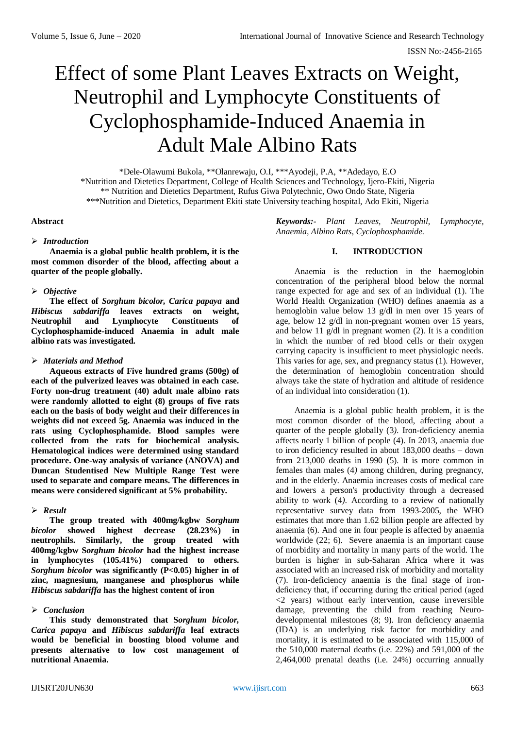# Effect of some Plant Leaves Extracts on Weight, Neutrophil and Lymphocyte Constituents of Cyclophosphamide-Induced Anaemia in Adult Male Albino Rats

\*Dele-Olawumi Bukola, \*\*Olanrewaju, O.I, \*\*\*Ayodeji, P.A, \*\*Adedayo, E.O \*Nutrition and Dietetics Department, College of Health Sciences and Technology, Ijero-Ekiti, Nigeria \*\* Nutrition and Dietetics Department, Rufus Giwa Polytechnic, Owo Ondo State, Nigeria \*\*\*Nutrition and Dietetics, Department Ekiti state University teaching hospital, Ado Ekiti, Nigeria

# **Abstract**

# *Introduction*

**Anaemia is a global public health problem, it is the most common disorder of the blood, affecting about a quarter of the people globally.**

# *Objective*

**The effect of** *Sorghum bicolor, Carica papaya* **and**  *Hibiscus sabdariffa* **leaves extracts on weight, Neutrophil and Lymphocyte Constituents of Cyclophosphamide-induced Anaemia in adult male albino rats was investigated.**

# *Materials and Method*

**Aqueous extracts of Five hundred grams (500g) of each of the pulverized leaves was obtained in each case. Forty non-drug treatment (40) adult male albino rats were randomly allotted to eight (8) groups of five rats each on the basis of body weight and their differences in weights did not exceed 5g. Anaemia was induced in the rats using Cyclophosphamide. Blood samples were collected from the rats for biochemical analysis. Hematological indices were determined using standard procedure. One-way analysis of variance (ANOVA) and Duncan Studentised New Multiple Range Test were used to separate and compare means. The differences in means were considered significant at 5% probability.**

# *Result*

**The group treated with 400mg/kgbw S***orghum bicolor* **showed highest decrease (28.23%) in neutrophils. Similarly, the group treated with 400mg/kgbw S***orghum bicolor* **had the highest increase in lymphocytes (105.41%) compared to others.**  *Sorghum bicolor* **was significantly (P<0.05) higher in of zinc, magnesium, manganese and phosphorus while**  *Hibiscus sabdariffa* **has the highest content of iron**

# *Conclusion*

**This study demonstrated that S***orghum bicolor, Carica papaya* **and** *Hibiscus sabdariffa* **leaf extracts would be beneficial in boosting blood volume and presents alternative to low cost management of nutritional Anaemia.**

*Keywords:- Plant Leaves, Neutrophil, Lymphocyte, Anaemia, Albino Rats, Cyclophosphamide.*

# **I. INTRODUCTION**

Anaemia is the reduction in the haemoglobin concentration of the peripheral blood below the normal range expected for age and sex of an individual (1). The World Health Organization (WHO) defines anaemia as a hemoglobin value below 13 g/dl in men over 15 years of age, below 12 g/dl in non-pregnant women over 15 years, and below 11 g/dl in pregnant women (2). It is a condition in which the number of red blood cells or their oxygen carrying capacity is insufficient to meet physiologic needs. This varies for age, sex, and pregnancy status (1). However, the determination of hemoglobin concentration should always take the state of hydration and altitude of residence of an individual into consideration (1).

Anaemia is a global public health problem, it is the most common disorder of the blood, affecting about a quarter of the people globally (3*)*. [Iron-deficiency anemia](https://en.wikipedia.org/wiki/Iron-deficiency_anemia) affects nearly 1 billion of people (4). In 2013, anaemia due to iron deficiency resulted in about 183,000 deaths – down from 213,000 deaths in 1990 (5). It is more common in females than males (4*)* among children, during pregnancy, and in the elderly. Anaemia increases costs of medical care and lowers a person's productivity through a decreased ability to work (4*)*. According to a review of nationally representative survey data from 1993-2005, the WHO estimates that more than 1.62 billion people are affected by anaemia (6). And one in four people is affected by anaemia worldwide (22; 6). Severe anaemia is an important cause of morbidity and mortality in many parts of the world. The burden is higher in sub-Saharan Africa where it was associated with an increased risk of morbidity and mortality (7). Iron-deficiency anaemia is the final stage of irondeficiency that, if occurring during the critical period (aged <2 years) without early intervention, cause irreversible damage, preventing the child from reaching Neurodevelopmental milestones (8; 9). Iron deficiency anaemia (IDA) is an underlying risk factor for morbidity and mortality, it is estimated to be associated with 115,000 of the 510,000 maternal deaths (i.e. 22%) and 591,000 of the 2,464,000 prenatal deaths (i.e. 24%) occurring annually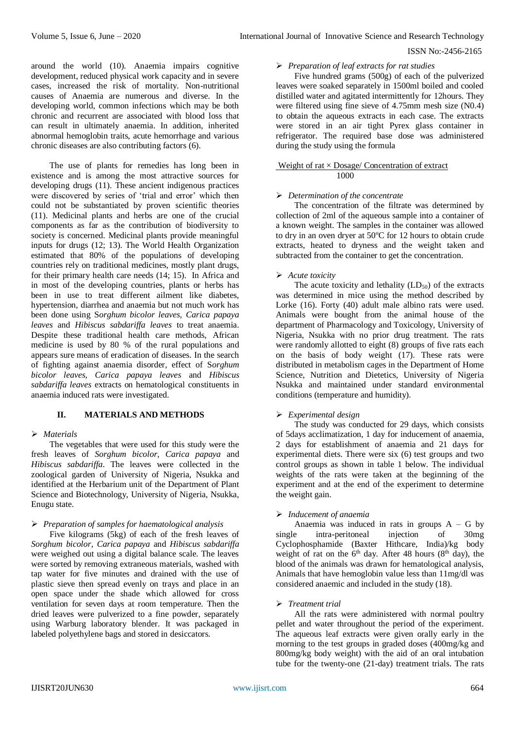around the world (10). Anaemia impairs cognitive development, reduced physical work capacity and in severe cases, increased the risk of mortality. Non-nutritional causes of Anaemia are numerous and diverse. In the developing world, common infections which may be both chronic and recurrent are associated with blood loss that can result in ultimately anaemia. In addition, inherited abnormal hemoglobin traits, acute hemorrhage and various chronic diseases are also contributing factors (6).

The use of plants for remedies has long been in existence and is among the most attractive sources for developing drugs (11). These ancient indigenous practices were discovered by series of 'trial and error' which then could not be substantiated by proven scientific theories (11). Medicinal plants and herbs are one of the crucial components as far as the contribution of biodiversity to society is concerned. Medicinal plants provide meaningful inputs for drugs (12; 13). The World Health Organization estimated that 80% of the populations of developing countries rely on traditional medicines, mostly plant drugs, for their primary health care needs (14; 15). In Africa and in most of the developing countries, plants or herbs has been in use to treat different ailment like diabetes, hypertension, diarrhea and anaemia but not much work has been done using S*orghum bicolor leaves, Carica papaya leaves* and *Hibiscus sabdariffa leaves* to treat anaemia. Despite these traditional health care methods, African medicine is used by 80 % of the rural populations and appears sure means of eradication of diseases. In the search of fighting against anaemia disorder, effect of S*orghum bicolor leaves, Carica papaya leaves* and *Hibiscus sabdariffa leaves* extracts on hematological constituents in anaemia induced rats were investigated.

# **II. MATERIALS AND METHODS**

#### *Materials*

The vegetables that were used for this study were the fresh leaves of *Sorghum bicolor, Carica papaya* and *Hibiscus sabdariffa*. The leaves were collected in the zoological garden of University of Nigeria, Nsukka and identified at the Herbarium unit of the Department of Plant Science and Biotechnology, University of Nigeria, Nsukka, Enugu state.

#### *Preparation of samples for haematological analysis*

Five kilograms (5kg) of each of the fresh leaves of *Sorghum bicolor*, *Carica papaya* and *Hibiscus sabdariffa*  were weighed out using a digital balance scale. The leaves were sorted by removing extraneous materials, washed with tap water for five minutes and drained with the use of plastic sieve then spread evenly on trays and place in an open space under the shade which allowed for cross ventilation for seven days at room temperature. Then the dried leaves were pulverized to a fine powder, separately using Warburg laboratory blender. It was packaged in labeled polyethylene bags and stored in desiccators.

## *Preparation of leaf extracts for rat studies*

Five hundred grams (500g) of each of the pulverized leaves were soaked separately in 1500ml boiled and cooled distilled water and agitated intermittently for 12hours. They were filtered using fine sieve of 4.75mm mesh size (N0.4) to obtain the aqueous extracts in each case. The extracts were stored in an air tight Pyrex glass container in refrigerator. The required base dose was administered during the study using the formula

## Weight of rat  $\times$  Dosage/ Concentration of extract 1000

## *Determination of the concentrate*

The concentration of the filtrate was determined by collection of 2ml of the aqueous sample into a container of a known weight. The samples in the container was allowed to dry in an oven dryer at  $50^{\circ}$ C for 12 hours to obtain crude extracts, heated to dryness and the weight taken and subtracted from the container to get the concentration.

## *Acute toxicity*

The acute toxicity and lethality  $(LD_{50})$  of the extracts was determined in mice using the method described by Lorke (16). Forty (40) adult male albino rats were used. Animals were bought from the animal house of the department of Pharmacology and Toxicology, University of Nigeria, Nsukka with no prior drug treatment. The rats were randomly allotted to eight (8) groups of five rats each on the basis of body weight (17). These rats were distributed in metabolism cages in the Department of Home Science, Nutrition and Dietetics, University of Nigeria Nsukka and maintained under standard environmental conditions (temperature and humidity).

#### *Experimental design*

The study was conducted for 29 days, which consists of 5days acclimatization, 1 day for inducement of anaemia, 2 days for establishment of anaemia and 21 days for experimental diets. There were six (6) test groups and two control groups as shown in table 1 below. The individual weights of the rats were taken at the beginning of the experiment and at the end of the experiment to determine the weight gain.

#### *Inducement of anaemia*

Anaemia was induced in rats in groups  $A - G$  by single intra-peritoneal injection of 30mg Cyclophosphamide (Baxter Hithcare, India)/kg body weight of rat on the  $6<sup>th</sup>$  day. After 48 hours ( $8<sup>th</sup>$  day), the blood of the animals was drawn for hematological analysis, Animals that have hemoglobin value less than 11mg/dl was considered anaemic and included in the study (18).

#### *Treatment trial*

All the rats were administered with normal poultry pellet and water throughout the period of the experiment. The aqueous leaf extracts were given orally early in the morning to the test groups in graded doses (400mg/kg and 800mg/kg body weight) with the aid of an oral intubation tube for the twenty-one (21-day) treatment trials. The rats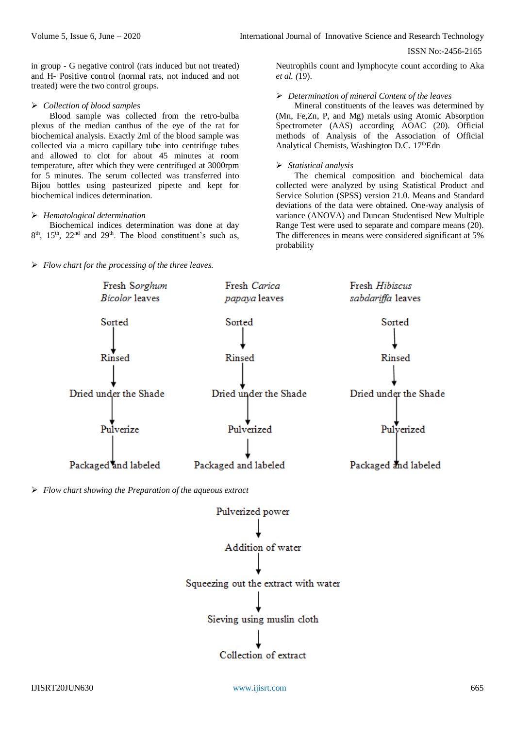in group - G negative control (rats induced but not treated) and H- Positive control (normal rats, not induced and not treated) were the two control groups.

#### *Collection of blood samples*

Blood sample was collected from the retro-bulba plexus of the median canthus of the eye of the rat for biochemical analysis. Exactly 2ml of the blood sample was collected via a micro capillary tube into centrifuge tubes and allowed to clot for about 45 minutes at room temperature, after which they were centrifuged at 3000rpm for 5 minutes. The serum collected was transferred into Bijou bottles using pasteurized pipette and kept for biochemical indices determination.

## *Hematological determination*

Biochemical indices determination was done at day 8<sup>th</sup>, 15<sup>th</sup>, 22<sup>nd</sup> and 29<sup>th</sup>. The blood constituent's such as,

*Flow chart for the processing of the three leaves.*

Neutrophils count and lymphocyte count according to Aka *et al. (*19).

## *Determination of mineral Content of the leaves*

Mineral constituents of the leaves was determined by (Mn, Fe,Zn, P, and Mg) metals using Atomic Absorption Spectrometer (AAS) according AOAC (20). Official methods of Analysis of the Association of Official Analytical Chemists, Washington D.C. 17<sup>th</sup>Edn

# *Statistical analysis*

The chemical composition and biochemical data collected were analyzed by using Statistical Product and Service Solution (SPSS) version 21.0. Means and Standard deviations of the data were obtained. One-way analysis of variance (ANOVA) and Duncan Studentised New Multiple Range Test were used to separate and compare means (20). The differences in means were considered significant at 5% probability



Collection of extract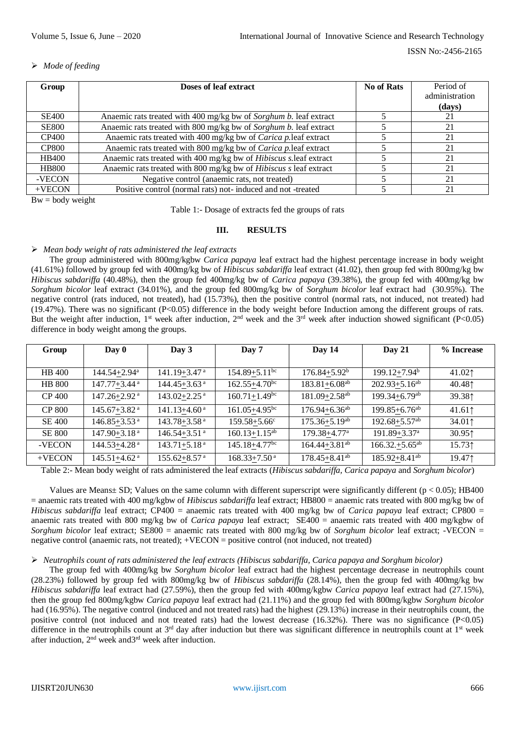# *Mode of feeding*

| Group        | Doses of leaf extract                                                    | No of Rats | Period of      |
|--------------|--------------------------------------------------------------------------|------------|----------------|
|              |                                                                          |            | administration |
|              |                                                                          |            | (days)         |
| <b>SE400</b> | Anaemic rats treated with 400 mg/kg bw of Sorghum b. leaf extract        |            | 21             |
| <b>SE800</b> | Anaemic rats treated with 800 mg/kg bw of Sorghum b. leaf extract        |            | 21             |
| <b>CP400</b> | Anaemic rats treated with 400 mg/kg bw of <i>Carica p</i> .leaf extract  |            | 21             |
| <b>CP800</b> | Anaemic rats treated with 800 mg/kg bw of Carica p.leaf extract          |            | 21             |
| <b>HB400</b> | Anaemic rats treated with 400 mg/kg bw of Hibiscus s.leaf extract        |            | 21             |
| <b>HB800</b> | Anaemic rats treated with 800 mg/kg bw of <i>Hibiscus s</i> leaf extract |            | 21             |
| -VECON       | Negative control (anaemic rats, not treated)                             |            | 21             |
| $+VECON$     | Positive control (normal rats) not- induced and not-treated              |            | 21             |

 $Bw = body weight$ 

Table 1:- Dosage of extracts fed the groups of rats

# **III. RESULTS**

# *Mean body weight of rats administered the leaf extracts*

The group administered with 800mg/kgbw *Carica papaya* leaf extract had the highest percentage increase in body weight (41.61%) followed by group fed with 400mg/kg bw of *Hibiscus sabdariffa* leaf extract (41.02), then group fed with 800mg/kg bw *Hibiscus sabdariffa* (40.48%), then the group fed 400mg/kg bw of *Carica papaya* (39.38%), the group fed with 400mg/kg bw *Sorghum bicolor* leaf extract (34.01%), and the group fed 800mg/kg bw of *Sorghum bicolor* leaf extract had (30.95%). The negative control (rats induced, not treated), had (15.73%), then the positive control (normal rats, not induced, not treated) had  $(19.47%)$ . There was no significant  $(P<0.05)$  difference in the body weight before Induction among the different groups of rats. But the weight after induction, 1<sup>st</sup> week after induction, 2<sup>nd</sup> week and the 3<sup>rd</sup> week after induction showed significant (P<0.05) difference in body weight among the groups.

| Group         | Day 0                        | Day 3                        | Day 7                           | Day 14                        | Day $21$                      | % Increase |
|---------------|------------------------------|------------------------------|---------------------------------|-------------------------------|-------------------------------|------------|
|               |                              |                              |                                 |                               |                               |            |
| <b>HB</b> 400 | $144.54 + 2.94^a$            | $141.19 + 3.47$ <sup>a</sup> | $154.89 + 5.11$ <sup>bc</sup>   | $176.84 + 5.92^b$             | 199.12+7.94 <sup>b</sup>      | $41.02$ 1  |
| <b>HB 800</b> | $147.77 + 3.44$ <sup>a</sup> | $144.45 + 3.63$ <sup>a</sup> | $162.55 + 4.70$ <sup>bc</sup>   | $183.81 + 6.08$ <sup>ab</sup> | $202.93 + 5.16^{ab}$          | $40.48$ ↑  |
| <b>CP 400</b> | 147.26+2.92 <sup>a</sup>     | $143.02 + 2.25$ <sup>a</sup> | $160.71 \pm 1.49$ <sup>bc</sup> | $181.09 + 2.58$ <sup>ab</sup> | $199.34 + 6.79$ <sup>ab</sup> | 39.381     |
| <b>CP 800</b> | $145.67 + 3.82$ <sup>a</sup> | $141.13 + 4.60$ <sup>a</sup> | $161.05 + 4.95^{bc}$            | $176.94 + 6.36$ <sup>ab</sup> | $199.85 + 6.76$ <sup>ab</sup> | 41.61      |
| <b>SE 400</b> | 146.85+3.53 <sub>a</sub>     | $143.78 + 3.58$ <sup>a</sup> | $159.58 + 5.66$ <sup>c</sup>    | $175.36 + 5.19$ <sup>ab</sup> | $192.68 + 5.57$ <sup>ab</sup> | 34.011     |
| <b>SE 800</b> | 147.90+3.18ª                 | $146.54 + 3.51$ <sup>a</sup> | $160.13 + 1.15^{ab}$            | 179.38+4.77 <sup>a</sup>      | 191.89+3.37 <sup>a</sup>      | 30.95      |
| -VECON        | 144.53+4.28ª                 | $143.71 + 5.18$ <sup>a</sup> | $145.18 + 4.77$ <sup>bc</sup>   | $164.44 + 3.81$ <sup>ab</sup> | $166.32.+5.65^{ab}$           | 15.731     |
| $+VECON$      | $145.51 + 4.62$ <sup>a</sup> | $155.62 + 8.57$ <sup>a</sup> | $168.33 + 7.50$ <sup>a</sup>    | $178.45 + 8.41$ <sup>ab</sup> | $185.92 + 8.41$ <sup>ab</sup> | 19.471     |

Table 2:- Mean body weight of rats administered the leaf extracts (*Hibiscus sabdariffa, Carica papaya* and *Sorghum bicolor*)

Values are Means $\pm$  SD; Values on the same column with different superscript were significantly different ( $p < 0.05$ ); HB400 = anaemic rats treated with 400 mg/kgbw of *Hibiscus sabdariffa* leaf extract; HB800 = anaemic rats treated with 800 mg/kg bw of *Hibiscus sabdariffa* leaf extract; CP400 = anaemic rats treated with 400 mg/kg bw of *Carica papaya* leaf extract; CP800 = anaemic rats treated with 800 mg/kg bw of *Carica papaya* leaf extract; SE400 = anaemic rats treated with 400 mg/kgbw of *Sorghum bicolor* leaf extract; SE800 = anaemic rats treated with 800 mg/kg bw of *Sorghum bicolor* leaf extract; -VECON = negative control (anaemic rats, not treated); +VECON = positive control (not induced, not treated)

# *Neutrophils count of rats administered the leaf extracts (Hibiscus sabdariffa, Carica papaya and Sorghum bicolor)*

The group fed with 400mg/kg bw *Sorghum bicolor* leaf extract had the highest percentage decrease in neutrophils count (28.23%) followed by group fed with 800mg/kg bw of *Hibiscus sabdariffa* (28.14%), then the group fed with 400mg/kg bw *Hibiscus sabdariffa* leaf extract had (27.59%), then the group fed with 400mg/kgbw *Carica papaya* leaf extract had (27.15%), then the group fed 800mg/kgbw *Carica papaya* leaf extract had (21.11%) and the group fed with 800mg/kgbw *Sorghum bicolor* had (16.95%). The negative control (induced and not treated rats) had the highest (29.13%) increase in their neutrophils count, the positive control (not induced and not treated rats) had the lowest decrease  $(16.32\%)$ . There was no significance  $(P<0.05)$ difference in the neutrophils count at  $3<sup>rd</sup>$  day after induction but there was significant difference in neutrophils count at  $1<sup>st</sup>$  week after induction, 2nd week and3rd week after induction.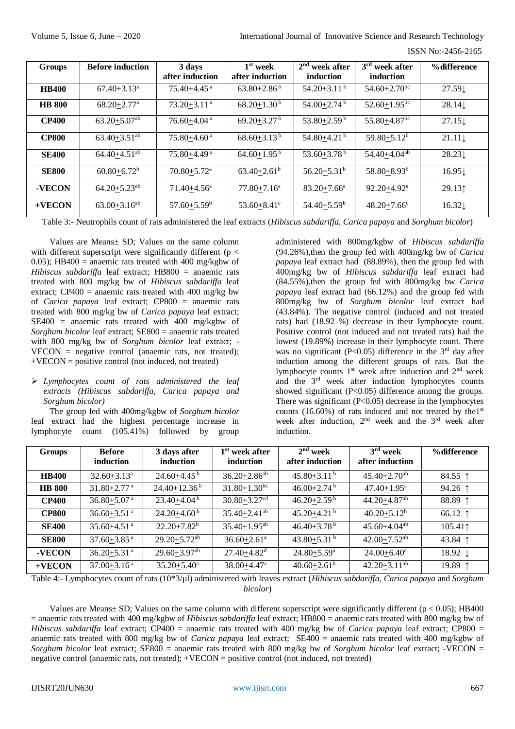ISSN No:-2456-2165

| <b>Groups</b> | <b>Before induction</b>        | 3 days<br>after induction   | $1st$ week<br>after induction | 2 <sup>nd</sup><br>week after<br>induction | $3rd$ week after<br>induction | %difference        |
|---------------|--------------------------------|-----------------------------|-------------------------------|--------------------------------------------|-------------------------------|--------------------|
| <b>HB400</b>  | $67.40 + 3.13$ <sup>a</sup>    | $75.40 + 4.45$ <sup>a</sup> | $63.80 + 2.86^b$              | $54.20 + 3.11$ <sup>b</sup>                | $54.60 + 2.70$ <sup>bc</sup>  | 27.59 <sub>L</sub> |
| <b>HB 800</b> | $68.20 + 2.77$ <sup>a</sup>    | $73.20 + 3.11$ <sup>a</sup> | $68.20 + 1.30^b$              | $54.00 + 2.74$ <sup>b</sup>                | $52.60 + 1.95$ <sup>bc</sup>  | 28.14              |
| <b>CP400</b>  | $63.20 + 5.07$ <sup>ab</sup>   | $76.60 + 4.04$ <sup>a</sup> | $69.20 + 3.27$ <sup>b</sup>   | $53.80 + 2.59^{\mathrm{b}}$                | $55.80 + 4.87$ <sup>bc</sup>  | 27.15              |
| <b>CP800</b>  | $63.40 + 3.51^{ab}$            | $75.80 + 4.60$ <sup>a</sup> | $68.60 + 3.13^{b}$            | 54.80+4.21 <sup>b</sup>                    | $59.80 + 5.12^b$              | $21.11 \downarrow$ |
| <b>SE400</b>  | $64.40 + 4.51$ <sup>ab</sup>   | $75.80 + 4.49$ <sup>a</sup> | $64.60 + 1.95^{\mathrm{b}}$   | 53.60+3.78 <sup>b</sup>                    | $54.40 + 4.04$ <sup>ab</sup>  | $28.23\downarrow$  |
| <b>SE800</b>  | $60.80 + 6.72^b$               | $70.80 + 5.72$ <sup>a</sup> | $63.40 + 2.61^b$              | $56.20 + 5.31^b$                           | $58.80 + 8.93^b$              | $16.95\downarrow$  |
| -VECON        | $64.20 \pm 5.23$ <sup>ab</sup> | $71.40 + 4.56^a$            | $77.80 + 7.16^a$              | $83.20 + 7.66^a$                           | $92.20 + 4.92^a$              | 29.131             |
| $+VECON$      | $63.00 + 3.16^{ab}$            | $57.60 + 5.59^b$            | 53.60+8.41 $\rm ^{\circ}$     | $54.40 + 5.59$ <sup>b</sup>                | $48.20 + 7.66$ <sup>c</sup>   | $16.32\downarrow$  |

Table 3:- Neutrophils count of rats administered the leaf extracts (*Hibiscus sabdariffa, Carica papaya* and *Sorghum bicolor*)

Values are Means± SD; Values on the same column with different superscript were significantly different ( $p <$ 0.05); HB400 = anaemic rats treated with 400 mg/kgbw of *Hibiscus sabdariffa* leaf extract; HB800 = anaemic rats treated with 800 mg/kg bw of *Hibiscus sabdariffa* leaf extract; CP400 = anaemic rats treated with 400 mg/kg bw of *Carica papaya* leaf extract; CP800 = anaemic rats treated with 800 mg/kg bw of *Carica papaya* leaf extract; SE400 = anaemic rats treated with 400 mg/kgbw of *Sorghum bicolor* leaf extract; SE800 = anaemic rats treated with 800 mg/kg bw of *Sorghum bicolor* leaf extract; - VECON = negative control (anaemic rats, not treated);  $+VECON = positive control (not induced, not treated)$ 

# *Lymphocytes count of rats administered the leaf extracts (Hibiscus sabdariffa, Carica papaya and Sorghum bicolor)*

The group fed with 400mg/kgbw of *Sorghum bicolor* leaf extract had the highest percentage increase in lymphocyte count (105.41%) followed by group

administered with 800mg/kgbw of *Hibiscus sabdariffa* (94.26%),then the group fed with 400mg/kg bw of *Carica papaya* leaf extract had (88.89%), then the group fed with 400mg/kg bw of *Hibiscus sabdariffa* leaf extract had (84.55%),then the group fed with 800mg/kg bw *Carica papaya* leaf extract had (66.12%) and the group fed with 800mg/kg bw of *Sorghum bicolor* leaf extract had (43.84%). The negative control (induced and not treated rats) had (18.92 %) decrease in their lymphocyte count. Positive control (not induced and not treated rats) had the lowest (19.89%) increase in their lymphocyte count. There was no significant (P<0.05) difference in the  $3<sup>rd</sup>$  day after induction among the different groups of rats. But the lymphocyte counts 1<sup>st</sup> week after induction and 2<sup>nd</sup> week and the 3rd week after induction lymphocytes counts showed significant (P<0.05) difference among the groups. There was significant (P<0.05) decrease in the lymphocytes counts (16.60%) of rats induced and not treated by the  $1<sup>st</sup>$ week after induction, 2nd week and the 3rd week after induction.

| <b>Groups</b> | <b>Before</b><br>induction  | 3 days after<br>induction    | 1 <sup>st</sup> week after<br>induction | $2nd$ week<br>after induction | $3rd$ week<br>after induction | %difference      |
|---------------|-----------------------------|------------------------------|-----------------------------------------|-------------------------------|-------------------------------|------------------|
|               |                             |                              |                                         |                               |                               |                  |
| <b>HB400</b>  | $32.60 + 3.13^a$            | $24.60 + 4.45^{\mathrm{b}}$  | $36.20 + 2.86$ <sup>ab</sup>            | $45.80 + 3.11$ <sup>b</sup>   | $45.40 + 2.70$ <sup>ab</sup>  | 84.55 $\uparrow$ |
| <b>HB 800</b> | $31.80 + 2.77$ <sup>a</sup> | $24.40 + 12.36^b$            | $31.80 + 1.30$ <sup>bc</sup>            | $46.00 \pm 2.74$ <sup>b</sup> | $47.40 + 1.95^{\mathrm{a}}$   | 94.26 $\uparrow$ |
| <b>CP400</b>  | $36.80 + 5.07$ <sup>a</sup> | $23.40 + 4.04^b$             | $30.80 + 3.27$ <sup>cd</sup>            | $46.20 + 2.59$ <sup>b</sup>   | $44.20 + 4.87$ <sup>ab</sup>  | 88.89 1          |
| <b>CP800</b>  | $36.60 + 3.51$ <sup>a</sup> | $24.20 + 4.60^{\mathrm{b}}$  | $35.40 + 2.41$ <sup>ab</sup>            | $45.20 + 4.21$ <sup>b</sup>   | $40.20 + 5.12^b$              | 66.12 $\uparrow$ |
| <b>SE400</b>  | 35.60+4.51 $a$              | $22.20 + 7.82^b$             | $35.40 + 1.95$ <sup>ab</sup>            | $46.40 + 3.78$ <sup>b</sup>   | $45.60 + 4.04$ <sup>ab</sup>  | 105.41           |
| <b>SE800</b>  | $37.60 + 3.85$ <sup>a</sup> | $29.20 + 5.72$ <sup>ab</sup> | $36.60 + 2.61$ <sup>a</sup>             | 43.80+5.31 $^{\rm b}$         | $42.00 + 7.52$ <sup>ab</sup>  | 43.84 $\uparrow$ |
| -VECON        | 36.20+5.31 $a$              | $29.60 + 3.97$ <sup>ab</sup> | $27.40 + 4.82$ <sup>d</sup>             | $24.80 + 5.59$ <sup>a</sup>   | $24.00 + 6.40^{\circ}$        | 18.92 ↓          |
| $+VECON$      | $37.00 + 3.16$ <sup>a</sup> | $35.20 + 5.40^a$             | $38.00 + 4.47$ <sup>a</sup>             | $40.60 \pm 2.61^{\circ}$      | $42.20 + 3.11^{ab}$           | 19.89 ↑          |

Table 4:- Lymphocytes count of rats (10\*3/µl) administered with leaves extract (*Hibiscus sabdariffa, Carica papaya* and *Sorghum bicolor*)

Values are Means $\pm$  SD; Values on the same column with different superscript were significantly different ( $p < 0.05$ ); HB400 = anaemic rats treated with 400 mg/kgbw of *Hibiscus sabdariffa* leaf extract; HB800 = anaemic rats treated with 800 mg/kg bw of *Hibiscus sabdariffa* leaf extract; CP400 = anaemic rats treated with 400 mg/kg bw of *Carica papaya* leaf extract; CP800 = anaemic rats treated with 800 mg/kg bw of *Carica papaya* leaf extract; SE400 = anaemic rats treated with 400 mg/kgbw of *Sorghum bicolor* leaf extract; SE800 = anaemic rats treated with 800 mg/kg bw of *Sorghum bicolor* leaf extract; -VECON = negative control (anaemic rats, not treated); +VECON = positive control (not induced, not treated)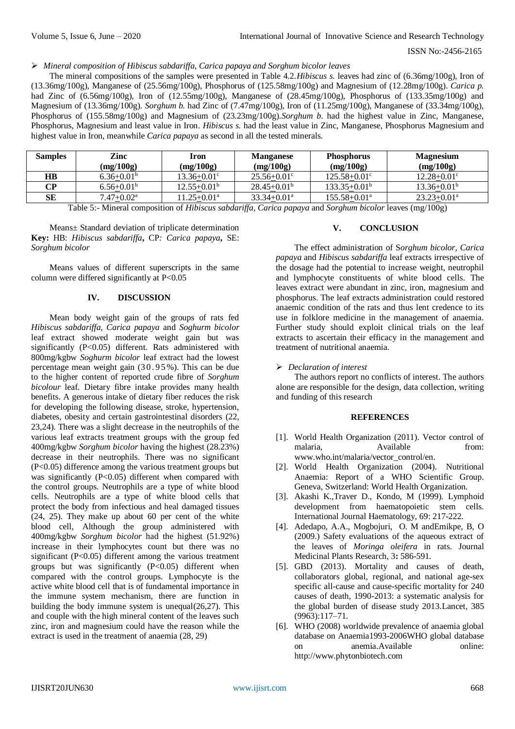# *Mineral composition of Hibiscus sabdariffa, Carica papaya and Sorghum bicolor leaves*

The mineral compositions of the samples were presented in Table 4.2.*Hibiscus s.* leaves had zinc of (6.36mg/100g), Iron of (13.36mg/100g), Manganese of (25.56mg/100g), Phosphorus of (125.58mg/100g) and Magnesium of (12.28mg/100g). *Carica p.* had Zinc of (6.56mg/100g), Iron of (12.55mg/100g), Manganese of (28.45mg/100g), Phosphorus of (133.35mg/100g) and Magnesium of (13.36mg/100g). *Sorghum b.* had Zinc of (7.47mg/100g), Iron of (11.25mg/100g), Manganese of (33.34mg/100g), Phosphorus of (155.58mg/100g) and Magnesium of (23.23mg/100g).*Sorghum b*. had the highest value in Zinc, Manganese, Phosphorus, Magnesium and least value in Iron. *Hibiscus s.* had the least value in Zinc, Manganese, Phosphorus Magnesium and highest value in Iron, meanwhile *Carica papaya* as second in all the tested minerals.

| <b>Samples</b> | Zinc<br>(mg/100g)        | Iron<br>(mg/100g)      | <b>Manganese</b><br>(mg/100g) | <b>Phosphorus</b><br>(mg/100g) | <b>Magnesium</b><br>(mg/100g) |
|----------------|--------------------------|------------------------|-------------------------------|--------------------------------|-------------------------------|
| <b>HB</b>      | $6.36 + 0.01^b$          | $13.36 + 0.01^{\circ}$ | $25.56 + 0.01^{\circ}$        | $125.58 + 0.01^{\circ}$        | $12.28 + 0.01^{\circ}$        |
| CР             | $6.56 + 0.01b$           | $12.55+0.01b$          | $28.45+0.01b$                 | $133.35 + 0.01^b$              | $13.36 + 0.01^b$              |
| SЕ             | $7.47 + 0.02^{\text{a}}$ | 11.25+0.01ª            | $33.34 + 0.01^a$              | 155.58+0.01ª                   | $23.23 + 0.01^a$              |

Table 5:- Mineral composition of *Hibiscus sabdariffa, Carica papaya* and *Sorghum bicolor* leaves (mg/100g)

Means± Standard deviation of triplicate determination **Key:** HB: *Hibiscus sabdariffa***,** CP*: Carica papaya***,** SE: *Sorghum bicolor*

Means values of different superscripts in the same column were differed significantly at P<0.05

# **IV. DISCUSSION**

Mean body weight gain of the groups of rats fed *Hibiscus sabdariffa, Carica papaya* and *Soghurm bicolor* leaf extract showed moderate weight gain but was significantly (P<0.05) different. Rats administered with 800mg/kgbw *Soghurm bicolor* leaf extract had the lowest percentage mean weight gain (3 0 . 9 5 %). This can be due to the higher content of reported crude fibre of *Sorghum bicolour* leaf*.* Dietary fibre intake provides many health benefits. A generous intake of dietary fiber reduces the risk for developing the following disease, stroke, hypertension, diabetes, obesity and certain gastrointestinal disorders (22, 23,24). There was a slight decrease in the neutrophils of the various leaf extracts treatment groups with the group fed 400mg/kgbw *Sorghum bicolor* having the highest (28.23%) decrease in their neutrophils. There was no significant (P<0.05) difference among the various treatment groups but was significantly (P<0.05) different when compared with the control groups. Neutrophils are a type of white blood cells. Neutrophils are a type of white blood cells that protect the body from infectious and heal damaged tissues  $(24, 25)$ . They make up about 60 per cent of the white blood cell, Although the group administered with 400mg/kgbw *Sorghum bicolor* had the highest (51.92%) increase in their lymphocytes count but there was no significant (P<0.05) different among the various treatment groups but was significantly  $(P<0.05)$  different when compared with the control groups. Lymphocyte is the active white blood cell that is of fundamental importance in the immune system mechanism, there are function in building the body immune system is unequal(26,27). This and couple with the high mineral content of the leaves such zinc, iron and magnesium could have the reason while the extract is used in the treatment of anaemia (28, 29)

# **V. CONCLUSION**

The effect administration of S*orghum bicolor, Carica papaya* and *Hibiscus sabdariffa* leaf extracts irrespective of the dosage had the potential to increase weight, neutrophil and lymphocyte constituents of white blood cells. The leaves extract were abundant in zinc, iron, magnesium and phosphorus. The leaf extracts administration could restored anaemic condition of the rats and thus lent credence to its use in folklore medicine in the management of anaemia. Further study should exploit clinical trials on the leaf extracts to ascertain their efficacy in the management and treatment of nutritional anaemia.

# *Declaration of interest*

The authors report no conflicts of interest. The authors alone are responsible for the design, data collection, writing and funding of this research

# **REFERENCES**

- [1]. World Health Organization (2011). Vector control of malaria. Available from: [www.who.int/malaria/vector\\_control/en.](http://www.who.int/malaria/vector_control/en)
- [2]. World Health Organization (2004). Nutritional Anaemia: Report of a WHO Scientific Group. Geneva, Switzerland: World Health Organization*.*
- [3]. Akashi K.,Traver D., Kondo, M (1999). [Lymphoid](https://dx.doi.org/10.1111/j.1600-065X.2010.00963.x)  [development from haematopoietic stem cells.](https://dx.doi.org/10.1111/j.1600-065X.2010.00963.x)  [International Journal Haematology, 69: 217-222.](https://dx.doi.org/10.1111/j.1600-065X.2010.00963.x)
- [4]. Adedapo, A.A., Mogbojuri, O. M andEmikpe, B, O (2009.) [Safety evaluations of the aqueous extract of](http://www.academicjournals.org/article/article1380372167_Adedapo%20et%20al.pdf)  the leaves of *Moringa oleifera* [in rats. Journal](http://www.academicjournals.org/article/article1380372167_Adedapo%20et%20al.pdf)  [Medicinal Plants Research, 3](http://www.academicjournals.org/article/article1380372167_Adedapo%20et%20al.pdf)**:** 586-591.
- [5]. GBD (2013). Mortality and causes of death, collaborators [global, regional, and national age-sex](https://www.ncbi.nlm.nih.gov/pmc/articles/PMC4340604)  [specific all-cause and cause-specific mortality for 240](https://www.ncbi.nlm.nih.gov/pmc/articles/PMC4340604)  [causes of death, 1990-2013: a systematic analysis for](https://www.ncbi.nlm.nih.gov/pmc/articles/PMC4340604)  [the global burden of disease study 2013.L](https://www.ncbi.nlm.nih.gov/pmc/articles/PMC4340604)ancet, 385 (9963):117–71.
- [6]. WHO (2008) worldwide prevalence of anaemia global database on Anaemia1993-2006WHO global database on anemia.Available online: http://www.phytonbiotech*.*com